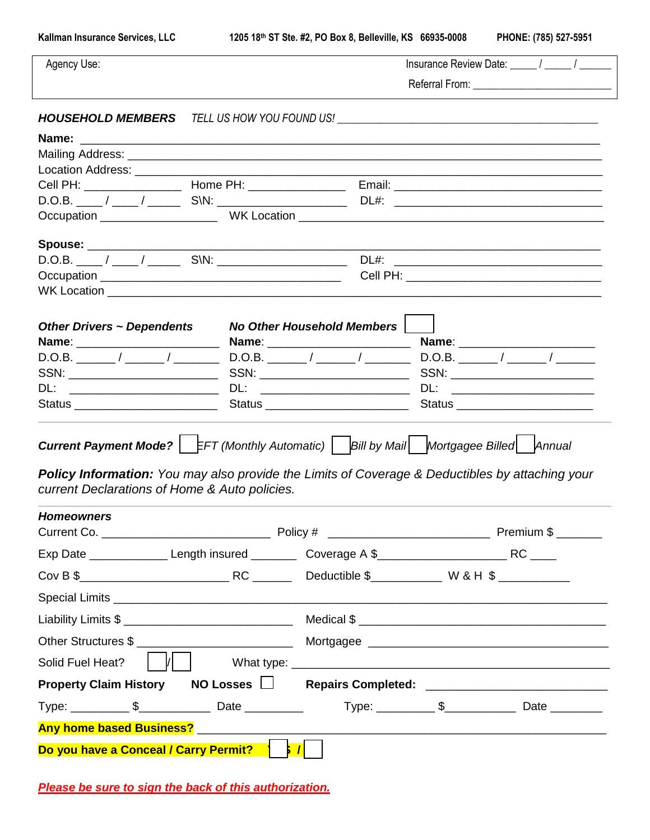**Kallman Insurance Services, LLC 1205 18th ST Ste. #2, PO Box 8, Belleville, KS 66935-0008 PHONE: (785) 527-5951**

| Agency Use:                                                                                            |  |                                    |                                                                                                                                                                                                              |  |  |
|--------------------------------------------------------------------------------------------------------|--|------------------------------------|--------------------------------------------------------------------------------------------------------------------------------------------------------------------------------------------------------------|--|--|
|                                                                                                        |  |                                    |                                                                                                                                                                                                              |  |  |
|                                                                                                        |  |                                    | <b>HOUSEHOLD MEMBERS</b> TELL US HOW YOU FOUND US!  SERVING A MARKET AND MEMBERS TELL US HOW YOU FOUND US!                                                                                                   |  |  |
|                                                                                                        |  |                                    |                                                                                                                                                                                                              |  |  |
|                                                                                                        |  |                                    |                                                                                                                                                                                                              |  |  |
|                                                                                                        |  |                                    |                                                                                                                                                                                                              |  |  |
|                                                                                                        |  |                                    |                                                                                                                                                                                                              |  |  |
|                                                                                                        |  |                                    | D.O.B. ____ / _____ / _______ S\N: _____________________________DL#: _______________________________                                                                                                         |  |  |
|                                                                                                        |  |                                    |                                                                                                                                                                                                              |  |  |
|                                                                                                        |  |                                    |                                                                                                                                                                                                              |  |  |
|                                                                                                        |  |                                    |                                                                                                                                                                                                              |  |  |
|                                                                                                        |  |                                    |                                                                                                                                                                                                              |  |  |
|                                                                                                        |  |                                    |                                                                                                                                                                                                              |  |  |
|                                                                                                        |  | <b>No Other Household Members</b>  |                                                                                                                                                                                                              |  |  |
| <b>Other Drivers ~ Dependents</b>                                                                      |  | Name: __________________________   |                                                                                                                                                                                                              |  |  |
|                                                                                                        |  |                                    |                                                                                                                                                                                                              |  |  |
|                                                                                                        |  |                                    | SSN: _________________________                                                                                                                                                                               |  |  |
|                                                                                                        |  | DL: ___________________________    |                                                                                                                                                                                                              |  |  |
| Status ______________________________                                                                  |  | Status ___________________________ | Status __________________________                                                                                                                                                                            |  |  |
| current Declarations of Home & Auto policies.                                                          |  |                                    | <b>Current Payment Mode?</b>   EFT (Monthly Automatic)    Bill by Mail   Mortgagee Billed   Annual<br><b>Policy Information:</b> You may also provide the Limits of Coverage & Deductibles by attaching your |  |  |
| <b>Homeowners</b>                                                                                      |  |                                    |                                                                                                                                                                                                              |  |  |
| Policy #<br>Current Co.                                                                                |  |                                    | $\_$ Premium $\$$                                                                                                                                                                                            |  |  |
| Exp Date ________________Length insured ___________Coverage A \$______________________________RC _____ |  |                                    |                                                                                                                                                                                                              |  |  |
|                                                                                                        |  |                                    |                                                                                                                                                                                                              |  |  |
|                                                                                                        |  |                                    |                                                                                                                                                                                                              |  |  |
|                                                                                                        |  |                                    |                                                                                                                                                                                                              |  |  |
|                                                                                                        |  |                                    |                                                                                                                                                                                                              |  |  |
| $ $ $ $ $ $ $ $<br>Solid Fuel Heat?                                                                    |  |                                    |                                                                                                                                                                                                              |  |  |
|                                                                                                        |  |                                    | Property Claim History NO Losses □ Repairs Completed: __________________________                                                                                                                             |  |  |
|                                                                                                        |  |                                    |                                                                                                                                                                                                              |  |  |
|                                                                                                        |  |                                    |                                                                                                                                                                                                              |  |  |
| Do you have a Conceal / Carry Permit?                                                                  |  |                                    |                                                                                                                                                                                                              |  |  |

*Please be sure to sign the back of this authorization.*